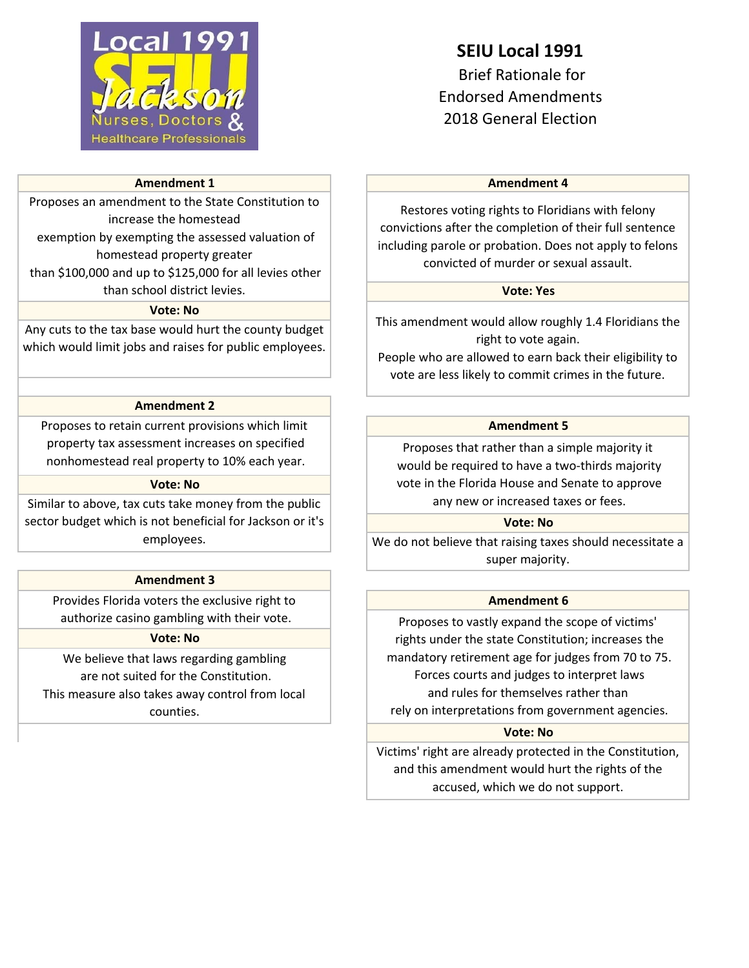

### **Amendment 1**

Proposes an amendment to the State Constitution to increase the homestead exemption by exempting the assessed valuation of

homestead property greater than \$100,000 and up to \$125,000 for all levies other

# than school district levies.

## **Vote: No**

Any cuts to the tax base would hurt the county budget which would limit jobs and raises for public employees.

# **Amendment 2**

Proposes to retain current provisions which limit property tax assessment increases on specified nonhomestead real property to 10% each year.

### **Vote: No**

Similar to above, tax cuts take money from the public sector budget which is not beneficial for Jackson or it's employees.

### **Amendment 3**

Provides Florida voters the exclusive right to authorize casino gambling with their vote.

### **Vote: No**

We believe that laws regarding gambling are not suited for the Constitution. This measure also takes away control from local counties.

# **SEIU Local 1991** Brief Rationale for

Endorsed Amendments 2018 General Election

### **Amendment 4**

Restores voting rights to Floridians with felony convictions after the completion of their full sentence including parole or probation. Does not apply to felons convicted of murder or sexual assault.

### **Vote: Yes**

This amendment would allow roughly 1.4 Floridians the right to vote again.

People who are allowed to earn back their eligibility to vote are less likely to commit crimes in the future.

### **Amendment 5**

Proposes that rather than a simple majority it would be required to have a two-thirds majority vote in the Florida House and Senate to approve any new or increased taxes or fees.

### **Vote: No**

We do not believe that raising taxes should necessitate a super majority.

### **Amendment 6**

Proposes to vastly expand the scope of victims' rights under the state Constitution; increases the mandatory retirement age for judges from 70 to 75. Forces courts and judges to interpret laws and rules for themselves rather than rely on interpretations from government agencies.

### **Vote: No**

Victims' right are already protected in the Constitution, and this amendment would hurt the rights of the accused, which we do not support.